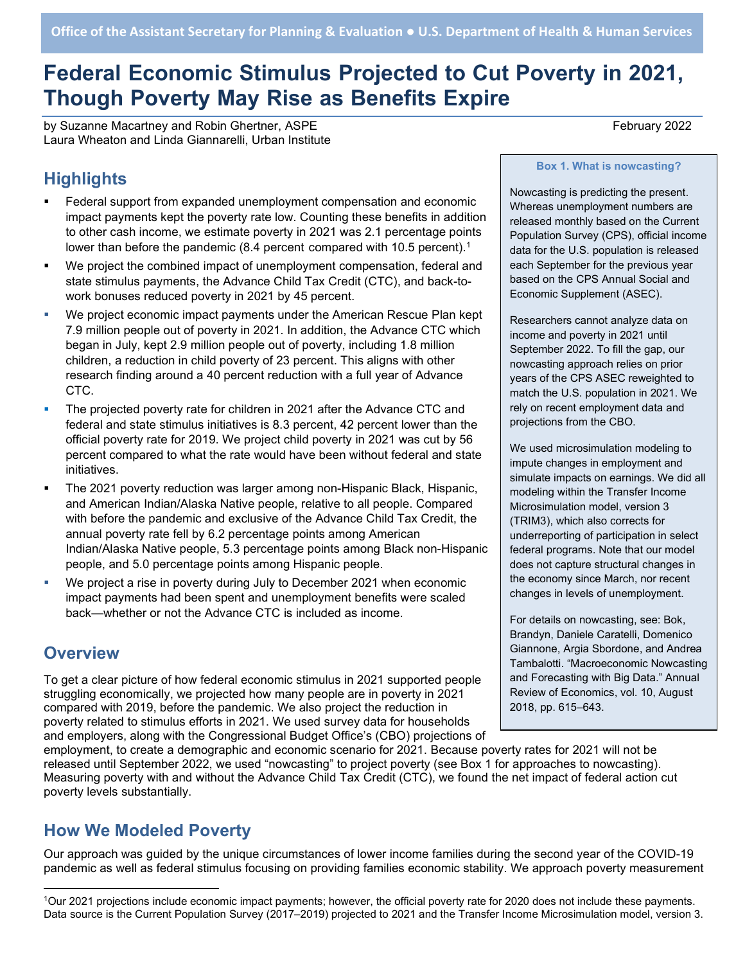# Federal Economic Stimulus Projected to Cut Poverty in 2021, **Th**ough Poverty May Rise as Benefits Expire

by Suzanne Macartney and Robin Ghertner, ASPE **February 2022** February 2022 Laura Wheaton and Linda Giannarelli, Urban Institute

# **Highlights**

- Federal support from expanded unemployment compensation and economic impact payments kept the poverty rate low. Counting these benefits in addition to other cash income, we estimate poverty in 2021 was 2.1 percentage points lower than before the pandemic (8.4 percent compared with 10.5 percent).<sup>1</sup>
- We project the combined impact of unemployment compensation, federal and state stimulus payments, the Advance Child Tax Credit (CTC), and back-towork bonuses reduced poverty in 2021 by 45 percent.
- We project economic impact payments under the American Rescue Plan kept 7.9 million people out of poverty in 2021. In addition, the Advance CTC which began in July, kept 2.9 million people out of poverty, including 1.8 million children, a reduction in child poverty of 23 percent. This aligns with other research finding around a 40 percent reduction with a full year of Advance CTC.
- The projected poverty rate for children in 2021 after the Advance CTC and federal and state stimulus initiatives is 8.3 percent, 42 percent lower than the official poverty rate for 2019. We project child poverty in 2021 was cut by 56 percent compared to what the rate would have been without federal and state initiatives.
- The 2021 poverty reduction was larger among non-Hispanic Black, Hispanic, and American Indian/Alaska Native people, relative to all people. Compared with before the pandemic and exclusive of the Advance Child Tax Credit, the annual poverty rate fell by 6.2 percentage points among American Indian/Alaska Native people, 5.3 percentage points among Black non-Hispanic people, and 5.0 percentage points among Hispanic people.
- We project a rise in poverty during July to December 2021 when economic impact payments had been spent and unemployment benefits were scaled back—whether or not the Advance CTC is included as income.

### **Overview**

To get a clear picture of how federal economic stimulus in 2021 supported people struggling economically, we projected how many people are in poverty in 2021 compared with 2019, before the pandemic. We also project the reduction in poverty related to stimulus efforts in 2021. We used survey data for households and employers, along with the Congressional Budget Office's (CBO) projections of Box 1. What is nowcasting?

Nowcasting is predicting the present. Whereas unemployment numbers are released monthly based on the Current Population Survey (CPS), official income data for the U.S. population is released each September for the previous year based on the CPS Annual Social and Economic Supplement (ASEC).

Researchers cannot analyze data on income and poverty in 2021 until September 2022. To fill the gap, our nowcasting approach relies on prior years of the CPS ASEC reweighted to match the U.S. population in 2021. We rely on recent employment data and projections from the CBO.

We used microsimulation modeling to impute changes in employment and simulate impacts on earnings. We did all modeling within the Transfer Income Microsimulation model, version 3 (TRIM3), which also corrects for underreporting of participation in select federal programs. Note that our model does not capture structural changes in the economy since March, nor recent changes in levels of unemployment.

For details on nowcasting, see: Bok, Brandyn, Daniele Caratelli, Domenico Giannone, Argia Sbordone, and Andrea Tambalotti. "Macroeconomic Nowcasting and Forecasting with Big Data." Annual Review of Economics, vol. 10, August 2018, pp. 615–643.

employment, to create a demographic and economic scenario for 2021. Because poverty rates for 2021 will not be released until September 2022, we used "nowcasting" to project poverty (see Box 1 for approaches to nowcasting). Measuring poverty with and without the Advance Child Tax Credit (CTC), we found the net impact of federal action cut poverty levels substantially.

# How We Modeled Poverty

Our approach was guided by the unique circumstances of lower income families during the second year of the COVID-19 pandemic as well as federal stimulus focusing on providing families economic stability. We approach poverty measurement

<sup>1</sup>Our 2021 projections include economic impact payments; however, the official poverty rate for 2020 does not include these payments. Data source is the Current Population Survey (2017–2019) projected to 2021 and the Transfer Income Microsimulation model, version 3.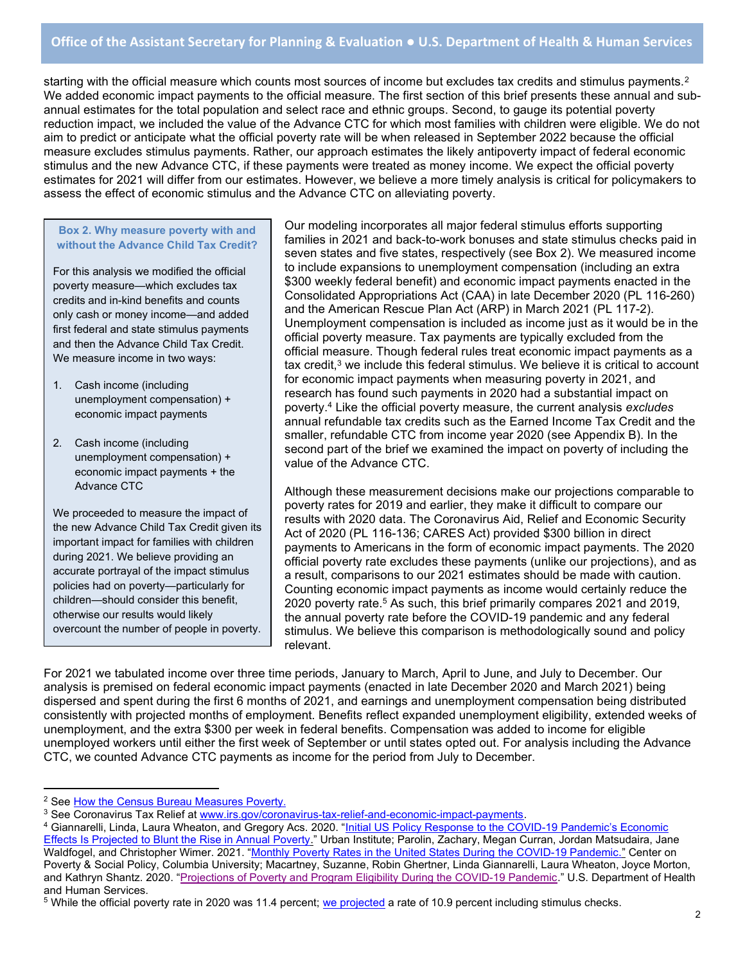### Office of the Assistant Secretary for Planning & Evaluation ● U.S. Department of Health & Human Services

starting with the official measure which counts most sources of income but excludes tax credits and stimulus payments. $2$ We added economic impact payments to the official measure. The first section of this brief presents these annual and subannual estimates for the total population and select race and ethnic groups. Second, to gauge its potential poverty reduction impact, we included the value of the Advance CTC for which most families with children were eligible. We do not aim to predict or anticipate what the official poverty rate will be when released in September 2022 because the official measure excludes stimulus payments. Rather, our approach estimates the likely antipoverty impact of federal economic stimulus and the new Advance CTC, if these payments were treated as money income. We expect the official poverty estimates for 2021 will differ from our estimates. However, we believe a more timely analysis is critical for policymakers to assess the effect of economic stimulus and the Advance CTC on alleviating poverty.

#### Box 2. Why measure poverty with and without the Advance Child Tax Credit?

For this analysis we modified the official poverty measure—which excludes tax credits and in-kind benefits and counts only cash or money income—and added first federal and state stimulus payments and then the Advance Child Tax Credit. We measure income in two ways:

- 1. Cash income (including unemployment compensation) + economic impact payments
- 2. Cash income (including unemployment compensation) + economic impact payments + the Advance CTC

We proceeded to measure the impact of the new Advance Child Tax Credit given its important impact for families with children during 2021. We believe providing an accurate portrayal of the impact stimulus policies had on poverty—particularly for children—should consider this benefit, otherwise our results would likely overcount the number of people in poverty.

Our modeling incorporates all major federal stimulus efforts supporting families in 2021 and back-to-work bonuses and state stimulus checks paid in seven states and five states, respectively (see Box 2). We measured income to include expansions to unemployment compensation (including an extra \$300 weekly federal benefit) and economic impact payments enacted in the Consolidated Appropriations Act (CAA) in late December 2020 (PL 116-260) and the American Rescue Plan Act (ARP) in March 2021 (PL 117-2). Unemployment compensation is included as income just as it would be in the official poverty measure. Tax payments are typically excluded from the official measure. Though federal rules treat economic impact payments as a tax credit,<sup>3</sup> we include this federal stimulus. We believe it is critical to account for economic impact payments when measuring poverty in 2021, and research has found such payments in 2020 had a substantial impact on poverty.<sup>4</sup> Like the official poverty measure, the current analysis excludes annual refundable tax credits such as the Earned Income Tax Credit and the smaller, refundable CTC from income year 2020 (see Appendix B). In the second part of the brief we examined the impact on poverty of including the value of the Advance CTC.

Although these measurement decisions make our projections comparable to poverty rates for 2019 and earlier, they make it difficult to compare our results with 2020 data. The Coronavirus Aid, Relief and Economic Security Act of 2020 (PL 116-136; CARES Act) provided \$300 billion in direct payments to Americans in the form of economic impact payments. The 2020 official poverty rate excludes these payments (unlike our projections), and as a result, comparisons to our 2021 estimates should be made with caution. Counting economic impact payments as income would certainly reduce the 2020 poverty rate.<sup>5</sup> As such, this brief primarily compares 2021 and 2019, the annual poverty rate before the COVID-19 pandemic and any federal stimulus. We believe this comparison is methodologically sound and policy relevant.

For 2021 we tabulated income over three time periods, January to March, April to June, and July to December. Our analysis is premised on federal economic impact payments (enacted in late December 2020 and March 2021) being dispersed and spent during the first 6 months of 2021, and earnings and unemployment compensation being distributed consistently with projected months of employment. Benefits reflect expanded unemployment eligibility, extended weeks of unemployment, and the extra \$300 per week in federal benefits. Compensation was added to income for eligible unemployed workers until either the first week of September or until states opted out. For analysis including the Advance CTC, we counted Advance CTC payments as income for the period from July to December.

<sup>&</sup>lt;sup>2</sup> See How the Census Bureau Measures Poverty.

<sup>&</sup>lt;sup>3</sup> See Coronavirus Tax Relief at <u>www.irs.gov/coronavirus-tax-relief-and-economic-impact-payments</u>.

<sup>&</sup>lt;sup>4</sup> Giannarelli, Linda, Laura Wheaton, and Gregory Acs. 2020. "<u>Initial US Policy Response to the COVID-19 Pandemic's Economic</u> Effects Is Projected to Blunt the Rise in Annual Poverty." Urban Institute; Parolin, Zachary, Megan Curran, Jordan Matsudaira, Jane Waldfogel, and Christopher Wimer. 2021. "Monthly Poverty Rates in the United States During the COVID-19 Pandemic." Center on Poverty & Social Policy, Columbia University; Macartney, Suzanne, Robin Ghertner, Linda Giannarelli, Laura Wheaton, Joyce Morton, and Kathryn Shantz. 2020. "Projections of Poverty and Program Eligibility During the COVID-19 Pandemic." U.S. Department of Health and Human Services.

 $^5$  While the official poverty rate in 2020 was 11.4 percent; we projected a rate of 10.9 percent including stimulus checks.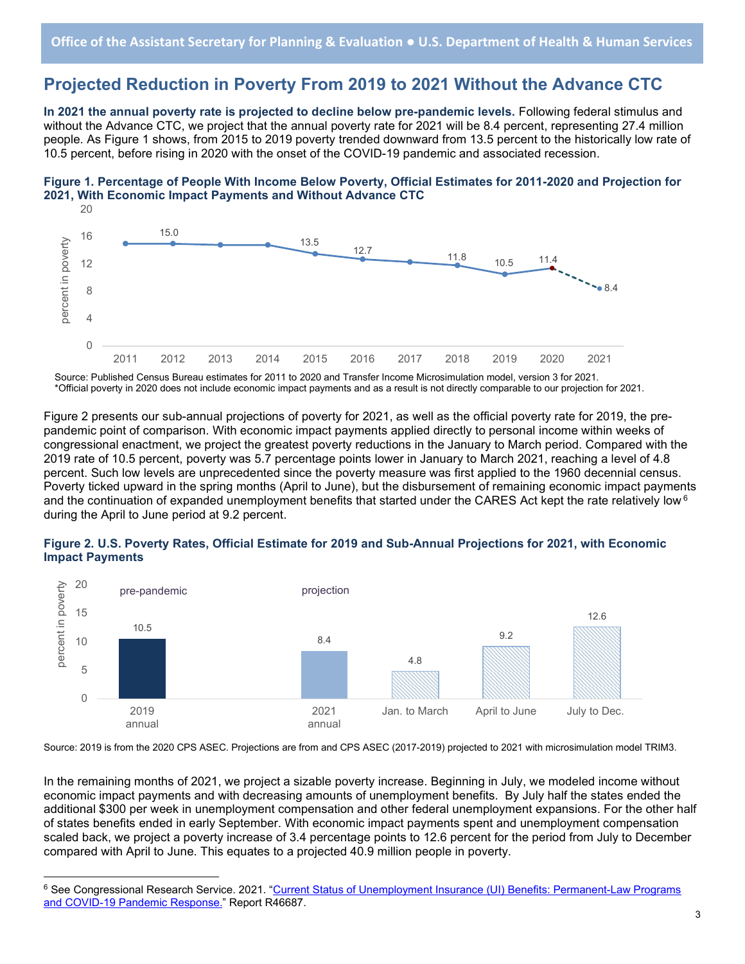### Projected Reduction in Poverty From 2019 to 2021 Without the Advance CTC

In 2021 the annual poverty rate is projected to decline below pre-pandemic levels. Following federal stimulus and without the Advance CTC, we project that the annual poverty rate for 2021 will be 8.4 percent, representing 27.4 million people. As Figure 1 shows, from 2015 to 2019 poverty trended downward from 13.5 percent to the historically low rate of 10.5 percent, before rising in 2020 with the onset of the COVID-19 pandemic and associated recession.





Source: Published Census Bureau estimates for 2011 to 2020 and Transfer Income Microsimulation model, version 3 for 2021. \*Official poverty in 2020 does not include economic impact payments and as a result is not directly comparable to our projection for 2021.

Figure 2 presents our sub-annual projections of poverty for 2021, as well as the official poverty rate for 2019, the prepandemic point of comparison. With economic impact payments applied directly to personal income within weeks of congressional enactment, we project the greatest poverty reductions in the January to March period. Compared with the 2019 rate of 10.5 percent, poverty was 5.7 percentage points lower in January to March 2021, reaching a level of 4.8 percent. Such low levels are unprecedented since the poverty measure was first applied to the 1960 decennial census. Poverty ticked upward in the spring months (April to June), but the disbursement of remaining economic impact payments and the continuation of expanded unemployment benefits that started under the CARES Act kept the rate relatively low  $6$ during the April to June period at 9.2 percent.



### Figure 2. U.S. Poverty Rates, Official Estimate for 2019 and Sub-Annual Projections for 2021, with Economic Impact Payments

Source: 2019 is from the 2020 CPS ASEC. Projections are from and CPS ASEC (2017-2019) projected to 2021 with microsimulation model TRIM3.

In the remaining months of 2021, we project a sizable poverty increase. Beginning in July, we modeled income without economic impact payments and with decreasing amounts of unemployment benefits. By July half the states ended the additional \$300 per week in unemployment compensation and other federal unemployment expansions. For the other half of states benefits ended in early September. With economic impact payments spent and unemployment compensation scaled back, we project a poverty increase of 3.4 percentage points to 12.6 percent for the period from July to December compared with April to June. This equates to a projected 40.9 million people in poverty.

<sup>&</sup>lt;sup>6</sup> See Congressional Research Service. 2021. "<u>Current Status of Unemployment Insurance (UI) Benefits: Permanent-Law Programs</u> and COVID-19 Pandemic Response." Report R46687.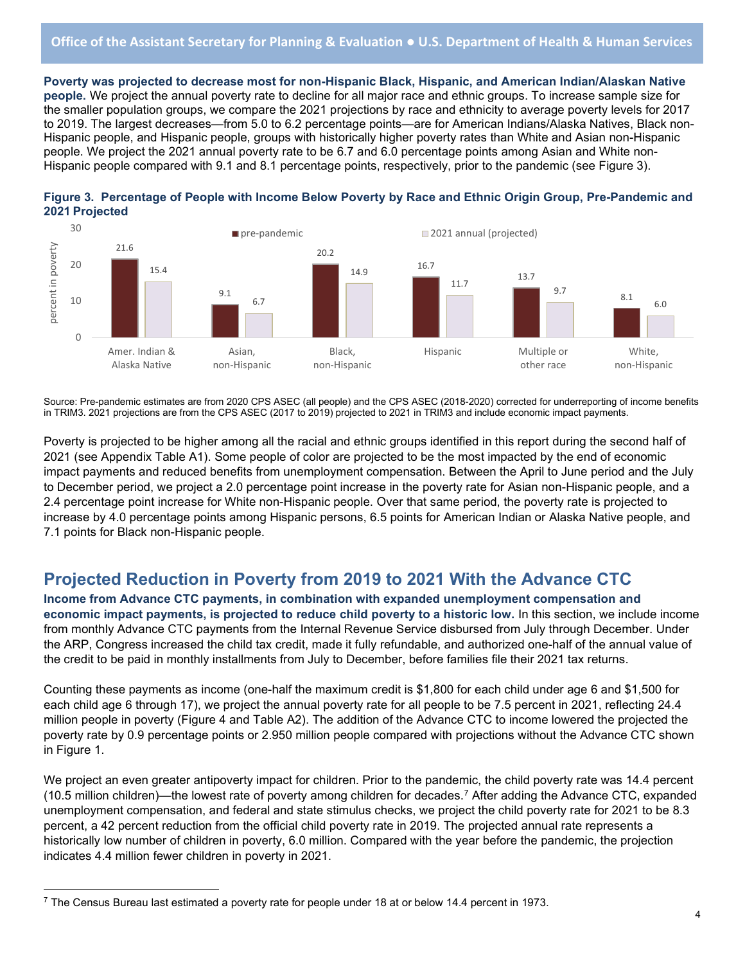Poverty was projected to decrease most for non-Hispanic Black, Hispanic, and American Indian/Alaskan Native people. We project the annual poverty rate to decline for all major race and ethnic groups. To increase sample size for the smaller population groups, we compare the 2021 projections by race and ethnicity to average poverty levels for 2017 to 2019. The largest decreases—from 5.0 to 6.2 percentage points—are for American Indians/Alaska Natives, Black non-Hispanic people, and Hispanic people, groups with historically higher poverty rates than White and Asian non-Hispanic people. We project the 2021 annual poverty rate to be 6.7 and 6.0 percentage points among Asian and White non-Hispanic people compared with 9.1 and 8.1 percentage points, respectively, prior to the pandemic (see Figure 3).





Source: Pre-pandemic estimates are from 2020 CPS ASEC (all people) and the CPS ASEC (2018-2020) corrected for underreporting of income benefits in TRIM3. 2021 projections are from the CPS ASEC (2017 to 2019) projected to 2021 in TRIM3 and include economic impact payments.

Poverty is projected to be higher among all the racial and ethnic groups identified in this report during the second half of 2021 (see Appendix Table A1). Some people of color are projected to be the most impacted by the end of economic impact payments and reduced benefits from unemployment compensation. Between the April to June period and the July to December period, we project a 2.0 percentage point increase in the poverty rate for Asian non-Hispanic people, and a 2.4 percentage point increase for White non-Hispanic people. Over that same period, the poverty rate is projected to increase by 4.0 percentage points among Hispanic persons, 6.5 points for American Indian or Alaska Native people, and 7.1 points for Black non-Hispanic people.

# Projected Reduction in Poverty from 2019 to 2021 With the Advance CTC

Income from Advance CTC payments, in combination with expanded unemployment compensation and economic impact payments, is projected to reduce child poverty to a historic low. In this section, we include income from monthly Advance CTC payments from the Internal Revenue Service disbursed from July through December. Under the ARP, Congress increased the child tax credit, made it fully refundable, and authorized one-half of the annual value of the credit to be paid in monthly installments from July to December, before families file their 2021 tax returns.

Counting these payments as income (one-half the maximum credit is \$1,800 for each child under age 6 and \$1,500 for each child age 6 through 17), we project the annual poverty rate for all people to be 7.5 percent in 2021, reflecting 24.4 million people in poverty (Figure 4 and Table A2). The addition of the Advance CTC to income lowered the projected the poverty rate by 0.9 percentage points or 2.950 million people compared with projections without the Advance CTC shown in Figure 1.

We project an even greater antipoverty impact for children. Prior to the pandemic, the child poverty rate was 14.4 percent (10.5 million children)—the lowest rate of poverty among children for decades.<sup>7</sup> After adding the Advance CTC, expanded unemployment compensation, and federal and state stimulus checks, we project the child poverty rate for 2021 to be 8.3 percent, a 42 percent reduction from the official child poverty rate in 2019. The projected annual rate represents a historically low number of children in poverty, 6.0 million. Compared with the year before the pandemic, the projection indicates 4.4 million fewer children in poverty in 2021.

 $\rm ^7$  The Census Bureau last estimated a poverty rate for people under 18 at or below 14.4 percent in 1973.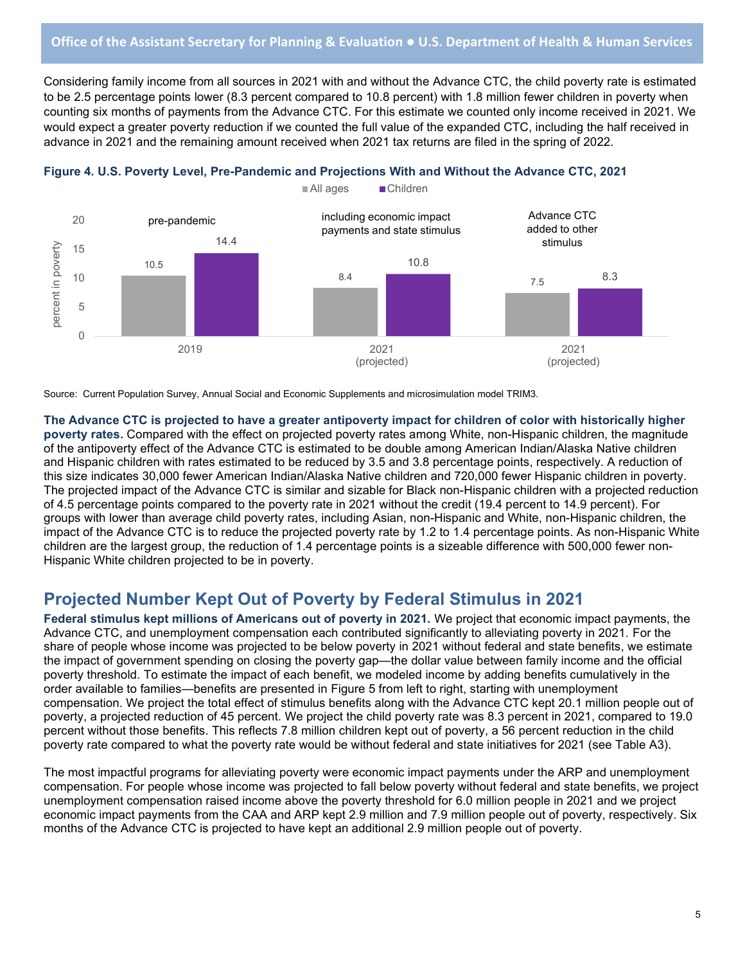Considering family income from all sources in 2021 with and without the Advance CTC, the child poverty rate is estimated to be 2.5 percentage points lower (8.3 percent compared to 10.8 percent) with 1.8 million fewer children in poverty when counting six months of payments from the Advance CTC. For this estimate we counted only income received in 2021. We would expect a greater poverty reduction if we counted the full value of the expanded CTC, including the half received in advance in 2021 and the remaining amount received when 2021 tax returns are filed in the spring of 2022.





Source: Current Population Survey, Annual Social and Economic Supplements and microsimulation model TRIM3.

The Advance CTC is projected to have a greater antipoverty impact for children of color with historically higher poverty rates. Compared with the effect on projected poverty rates among White, non-Hispanic children, the magnitude of the antipoverty effect of the Advance CTC is estimated to be double among American Indian/Alaska Native children and Hispanic children with rates estimated to be reduced by 3.5 and 3.8 percentage points, respectively. A reduction of this size indicates 30,000 fewer American Indian/Alaska Native children and 720,000 fewer Hispanic children in poverty. The projected impact of the Advance CTC is similar and sizable for Black non-Hispanic children with a projected reduction of 4.5 percentage points compared to the poverty rate in 2021 without the credit (19.4 percent to 14.9 percent). For groups with lower than average child poverty rates, including Asian, non-Hispanic and White, non-Hispanic children, the impact of the Advance CTC is to reduce the projected poverty rate by 1.2 to 1.4 percentage points. As non-Hispanic White children are the largest group, the reduction of 1.4 percentage points is a sizeable difference with 500,000 fewer non-Hispanic White children projected to be in poverty.

### Projected Number Kept Out of Poverty by Federal Stimulus in 2021

Federal stimulus kept millions of Americans out of poverty in 2021. We project that economic impact payments, the Advance CTC, and unemployment compensation each contributed significantly to alleviating poverty in 2021. For the share of people whose income was projected to be below poverty in 2021 without federal and state benefits, we estimate the impact of government spending on closing the poverty gap—the dollar value between family income and the official poverty threshold. To estimate the impact of each benefit, we modeled income by adding benefits cumulatively in the order available to families—benefits are presented in Figure 5 from left to right, starting with unemployment compensation. We project the total effect of stimulus benefits along with the Advance CTC kept 20.1 million people out of poverty, a projected reduction of 45 percent. We project the child poverty rate was 8.3 percent in 2021, compared to 19.0 percent without those benefits. This reflects 7.8 million children kept out of poverty, a 56 percent reduction in the child poverty rate compared to what the poverty rate would be without federal and state initiatives for 2021 (see Table A3).

The most impactful programs for alleviating poverty were economic impact payments under the ARP and unemployment compensation. For people whose income was projected to fall below poverty without federal and state benefits, we project unemployment compensation raised income above the poverty threshold for 6.0 million people in 2021 and we project economic impact payments from the CAA and ARP kept 2.9 million and 7.9 million people out of poverty, respectively. Six months of the Advance CTC is projected to have kept an additional 2.9 million people out of poverty.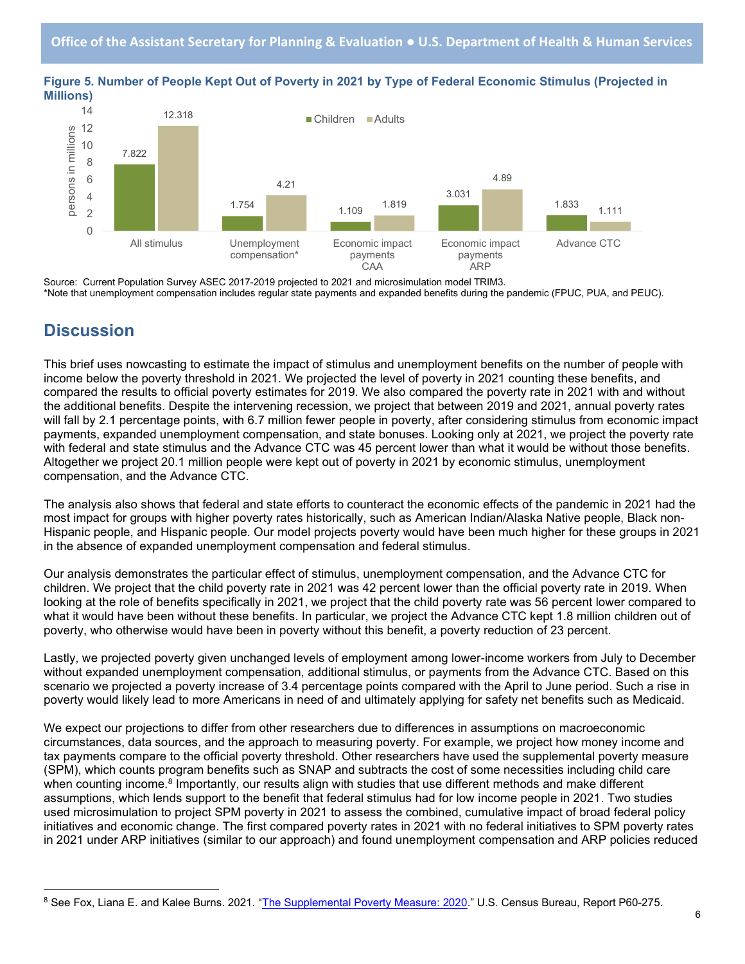

Figure 5. Number of People Kept Out of Poverty in 2021 by Type of Federal Economic Stimulus (Projected in Millions)

Source: Current Population Survey ASEC 2017-2019 projected to 2021 and microsimulation model TRIM3. \*Note that unemployment compensation includes regular state payments and expanded benefits during the pandemic (FPUC, PUA, and PEUC).

# **Discussion**

This brief uses nowcasting to estimate the impact of stimulus and unemployment benefits on the number of people with income below the poverty threshold in 2021. We projected the level of poverty in 2021 counting these benefits, and compared the results to official poverty estimates for 2019. We also compared the poverty rate in 2021 with and without the additional benefits. Despite the intervening recession, we project that between 2019 and 2021, annual poverty rates will fall by 2.1 percentage points, with 6.7 million fewer people in poverty, after considering stimulus from economic impact payments, expanded unemployment compensation, and state bonuses. Looking only at 2021, we project the poverty rate with federal and state stimulus and the Advance CTC was 45 percent lower than what it would be without those benefits. Altogether we project 20.1 million people were kept out of poverty in 2021 by economic stimulus, unemployment compensation, and the Advance CTC.

The analysis also shows that federal and state efforts to counteract the economic effects of the pandemic in 2021 had the most impact for groups with higher poverty rates historically, such as American Indian/Alaska Native people, Black non-Hispanic people, and Hispanic people. Our model projects poverty would have been much higher for these groups in 2021 in the absence of expanded unemployment compensation and federal stimulus.

Our analysis demonstrates the particular effect of stimulus, unemployment compensation, and the Advance CTC for children. We project that the child poverty rate in 2021 was 42 percent lower than the official poverty rate in 2019. When looking at the role of benefits specifically in 2021, we project that the child poverty rate was 56 percent lower compared to what it would have been without these benefits. In particular, we project the Advance CTC kept 1.8 million children out of poverty, who otherwise would have been in poverty without this benefit, a poverty reduction of 23 percent.

Lastly, we projected poverty given unchanged levels of employment among lower-income workers from July to December without expanded unemployment compensation, additional stimulus, or payments from the Advance CTC. Based on this scenario we projected a poverty increase of 3.4 percentage points compared with the April to June period. Such a rise in poverty would likely lead to more Americans in need of and ultimately applying for safety net benefits such as Medicaid.

We expect our projections to differ from other researchers due to differences in assumptions on macroeconomic circumstances, data sources, and the approach to measuring poverty. For example, we project how money income and tax payments compare to the official poverty threshold. Other researchers have used the supplemental poverty measure (SPM), which counts program benefits such as SNAP and subtracts the cost of some necessities including child care when counting income.<sup>8</sup> Importantly, our results align with studies that use different methods and make different assumptions, which lends support to the benefit that federal stimulus had for low income people in 2021. Two studies used microsimulation to project SPM poverty in 2021 to assess the combined, cumulative impact of broad federal policy initiatives and economic change. The first compared poverty rates in 2021 with no federal initiatives to SPM poverty rates in 2021 under ARP initiatives (similar to our approach) and found unemployment compensation and ARP policies reduced

<sup>&</sup>lt;sup>8</sup> See Fox, Liana E. and Kalee Burns. 2021. "<u>The Supplemental Poverty Measure: 2020</u>." U.S. Census Bureau, Report P60-275.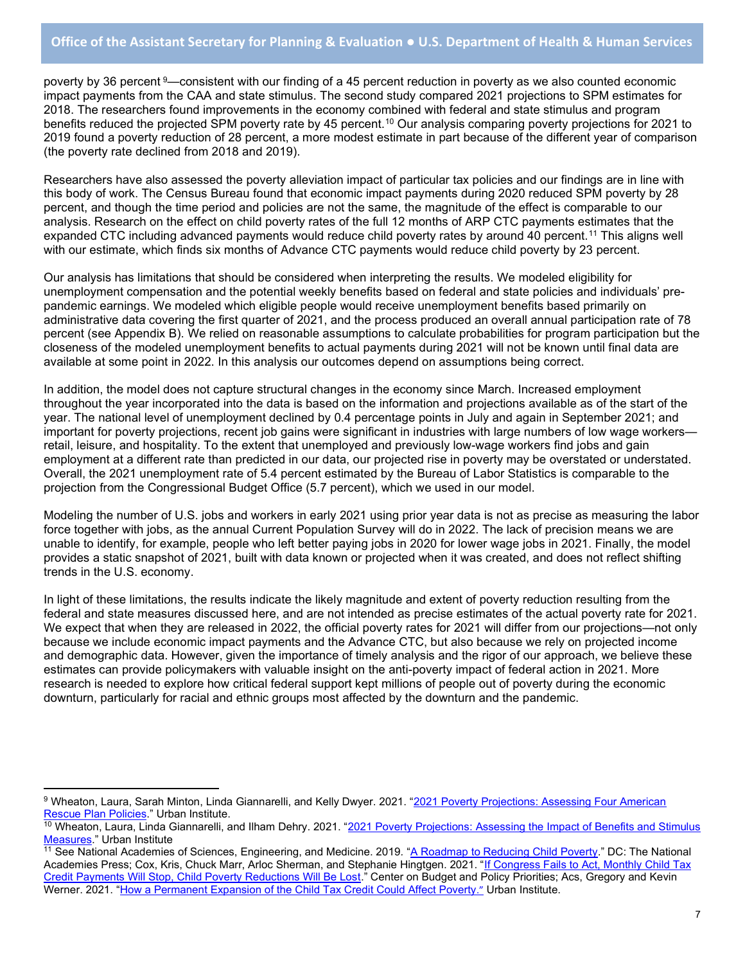poverty by 36 percent <sup>9</sup>—consistent with our finding of a 45 percent reduction in poverty as we also counted economic impact payments from the CAA and state stimulus. The second study compared 2021 projections to SPM estimates for 2018. The researchers found improvements in the economy combined with federal and state stimulus and program benefits reduced the projected SPM poverty rate by 45 percent.<sup>10</sup> Our analysis comparing poverty projections for 2021 to 2019 found a poverty reduction of 28 percent, a more modest estimate in part because of the different year of comparison (the poverty rate declined from 2018 and 2019).

Researchers have also assessed the poverty alleviation impact of particular tax policies and our findings are in line with this body of work. The Census Bureau found that economic impact payments during 2020 reduced SPM poverty by 28 percent, and though the time period and policies are not the same, the magnitude of the effect is comparable to our analysis. Research on the effect on child poverty rates of the full 12 months of ARP CTC payments estimates that the expanded CTC including advanced payments would reduce child poverty rates by around 40 percent.<sup>11</sup> This aligns well with our estimate, which finds six months of Advance CTC payments would reduce child poverty by 23 percent.

Our analysis has limitations that should be considered when interpreting the results. We modeled eligibility for unemployment compensation and the potential weekly benefits based on federal and state policies and individuals' prepandemic earnings. We modeled which eligible people would receive unemployment benefits based primarily on administrative data covering the first quarter of 2021, and the process produced an overall annual participation rate of 78 percent (see Appendix B). We relied on reasonable assumptions to calculate probabilities for program participation but the closeness of the modeled unemployment benefits to actual payments during 2021 will not be known until final data are available at some point in 2022. In this analysis our outcomes depend on assumptions being correct.

In addition, the model does not capture structural changes in the economy since March. Increased employment throughout the year incorporated into the data is based on the information and projections available as of the start of the year. The national level of unemployment declined by 0.4 percentage points in July and again in September 2021; and important for poverty projections, recent job gains were significant in industries with large numbers of low wage workers retail, leisure, and hospitality. To the extent that unemployed and previously low-wage workers find jobs and gain employment at a different rate than predicted in our data, our projected rise in poverty may be overstated or understated. Overall, the 2021 unemployment rate of 5.4 percent estimated by the Bureau of Labor Statistics is comparable to the projection from the Congressional Budget Office (5.7 percent), which we used in our model.

Modeling the number of U.S. jobs and workers in early 2021 using prior year data is not as precise as measuring the labor force together with jobs, as the annual Current Population Survey will do in 2022. The lack of precision means we are unable to identify, for example, people who left better paying jobs in 2020 for lower wage jobs in 2021. Finally, the model provides a static snapshot of 2021, built with data known or projected when it was created, and does not reflect shifting trends in the U.S. economy.

In light of these limitations, the results indicate the likely magnitude and extent of poverty reduction resulting from the federal and state measures discussed here, and are not intended as precise estimates of the actual poverty rate for 2021. We expect that when they are released in 2022, the official poverty rates for 2021 will differ from our projections—not only because we include economic impact payments and the Advance CTC, but also because we rely on projected income and demographic data. However, given the importance of timely analysis and the rigor of our approach, we believe these estimates can provide policymakers with valuable insight on the anti-poverty impact of federal action in 2021. More research is needed to explore how critical federal support kept millions of people out of poverty during the economic downturn, particularly for racial and ethnic groups most affected by the downturn and the pandemic.

<sup>&</sup>lt;sup>9</sup> Wheaton, Laura, Sarah Minton, Linda Giannarelli, and Kelly Dwyer. 2021. "<u>2021 Poverty Projections: Assessing Four American</u> Rescue Plan Policies." Urban Institute.

<sup>&</sup>lt;sup>10</sup> Wheaton, Laura, Linda Giannarelli, and Ilham Dehry. 2021. "2021 Poverty Projections: Assessing the Impact of Benefits and Stimulus Measures." Urban Institute

<sup>&</sup>lt;sup>11</sup> See National Academies of Sciences, Engineering, and Medicine. 2019. "A Roadmap to Reducing Child Poverty." DC: The National Academies Press; Cox, Kris, Chuck Marr, Arloc Sherman, and Stephanie Hingtgen. 2021. "If Congress Fails to Act, Monthly Child Tax Credit Payments Will Stop, Child Poverty Reductions Will Be Lost." Center on Budget and Policy Priorities; Acs, Gregory and Kevin Werner. 2021. "How a Permanent Expansion of the Child Tax Credit Could Affect Poverty." Urban Institute.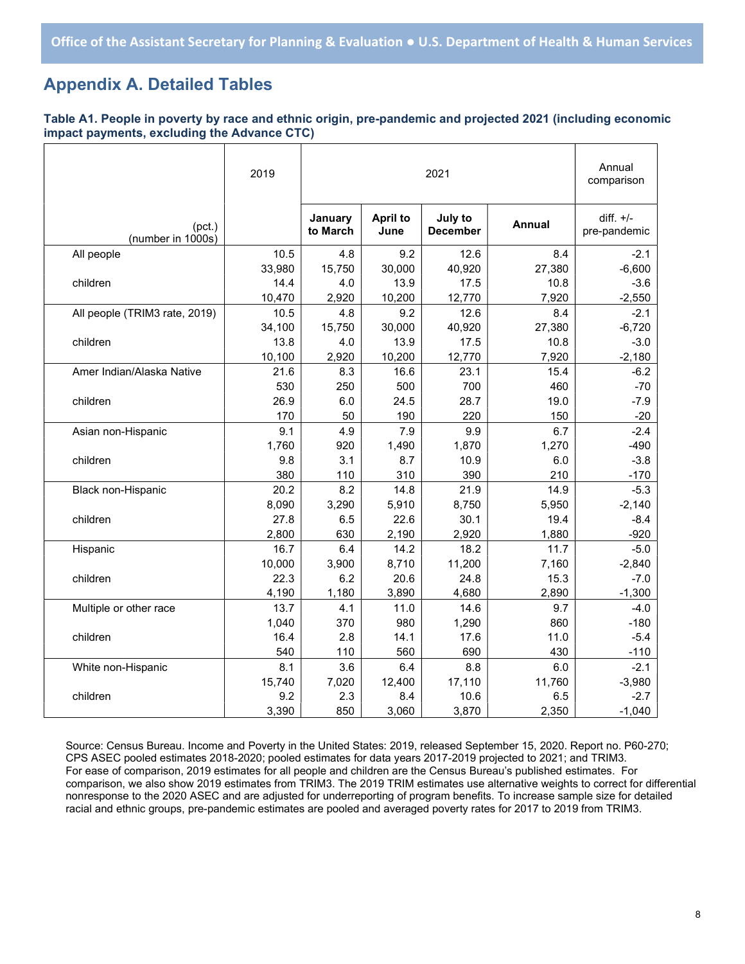# Appendix A. Detailed Tables

#### Table A1. People in poverty by race and ethnic origin, pre-pandemic and projected 2021 (including economic impact payments, excluding the Advance CTC)

|                               | 2019   |                     | Annual<br>comparison    |                            |               |                             |
|-------------------------------|--------|---------------------|-------------------------|----------------------------|---------------|-----------------------------|
| (pct.)<br>(number in 1000s)   |        | January<br>to March | <b>April to</b><br>June | July to<br><b>December</b> | <b>Annual</b> | diff. $+/-$<br>pre-pandemic |
| All people                    | 10.5   | 4.8                 | 9.2                     | 12.6                       | 8.4           | $-2.1$                      |
|                               | 33,980 | 15,750              | 30,000                  | 40,920                     | 27,380        | $-6,600$                    |
| children                      | 14.4   | 4.0                 | 13.9                    | 17.5                       | 10.8          | $-3.6$                      |
|                               | 10,470 | 2,920               | 10,200                  | 12,770                     | 7,920         | $-2,550$                    |
| All people (TRIM3 rate, 2019) | 10.5   | 4.8                 | 9.2                     | 12.6                       | 8.4           | $-2.1$                      |
|                               | 34,100 | 15,750              | 30,000                  | 40,920                     | 27,380        | $-6,720$                    |
| children                      | 13.8   | 4.0                 | 13.9                    | 17.5                       | 10.8          | $-3.0$                      |
|                               | 10,100 | 2,920               | 10,200                  | 12,770                     | 7,920         | $-2,180$                    |
| Amer Indian/Alaska Native     | 21.6   | 8.3                 | 16.6                    | 23.1                       | 15.4          | $-6.2$                      |
|                               | 530    | 250                 | 500                     | 700                        | 460           | $-70$                       |
| children                      | 26.9   | 6.0                 | 24.5                    | 28.7                       | 19.0          | $-7.9$                      |
|                               | 170    | 50                  | 190                     | 220                        | 150           | $-20$                       |
| Asian non-Hispanic            | 9.1    | 4.9                 | 7.9                     | 9.9                        | 6.7           | $-2.4$                      |
|                               | 1,760  | 920                 | 1,490                   | 1,870                      | 1,270         | $-490$                      |
| children                      | 9.8    | 3.1                 | 8.7                     | 10.9                       | 6.0           | $-3.8$                      |
|                               | 380    | 110                 | 310                     | 390                        | 210           | $-170$                      |
| Black non-Hispanic            | 20.2   | 8.2                 | 14.8                    | 21.9                       | 14.9          | $-5.3$                      |
|                               | 8,090  | 3,290               | 5,910                   | 8,750                      | 5,950         | $-2,140$                    |
| children                      | 27.8   | 6.5                 | 22.6                    | 30.1                       | 19.4          | $-8.4$                      |
|                               | 2,800  | 630                 | 2,190                   | 2,920                      | 1,880         | $-920$                      |
| Hispanic                      | 16.7   | 6.4                 | 14.2                    | 18.2                       | 11.7          | $-5.0$                      |
|                               | 10,000 | 3,900               | 8,710                   | 11,200                     | 7,160         | $-2,840$                    |
| children                      | 22.3   | 6.2                 | 20.6                    | 24.8                       | 15.3          | $-7.0$                      |
|                               | 4,190  | 1,180               | 3,890                   | 4,680                      | 2,890         | $-1,300$                    |
| Multiple or other race        | 13.7   | 4.1                 | 11.0                    | 14.6                       | 9.7           | $-4.0$                      |
|                               | 1,040  | 370                 | 980                     | 1,290                      | 860           | $-180$                      |
| children                      | 16.4   | 2.8                 | 14.1                    | 17.6                       | 11.0          | $-5.4$                      |
|                               | 540    | 110                 | 560                     | 690                        | 430           | $-110$                      |
| White non-Hispanic            | 8.1    | 3.6                 | 6.4                     | 8.8                        | 6.0           | $-2.1$                      |
|                               | 15,740 | 7,020               | 12,400                  | 17,110                     | 11,760        | $-3,980$                    |
| children                      | 9.2    | 2.3                 | 8.4                     | 10.6                       | 6.5           | $-2.7$                      |
|                               | 3,390  | 850                 | 3,060                   | 3,870                      | 2,350         | $-1,040$                    |

Source: Census Bureau. Income and Poverty in the United States: 2019, released September 15, 2020. Report no. P60-270; CPS ASEC pooled estimates 2018-2020; pooled estimates for data years 2017-2019 projected to 2021; and TRIM3. For ease of comparison, 2019 estimates for all people and children are the Census Bureau's published estimates. For comparison, we also show 2019 estimates from TRIM3. The 2019 TRIM estimates use alternative weights to correct for differential nonresponse to the 2020 ASEC and are adjusted for underreporting of program benefits. To increase sample size for detailed racial and ethnic groups, pre-pandemic estimates are pooled and averaged poverty rates for 2017 to 2019 from TRIM3.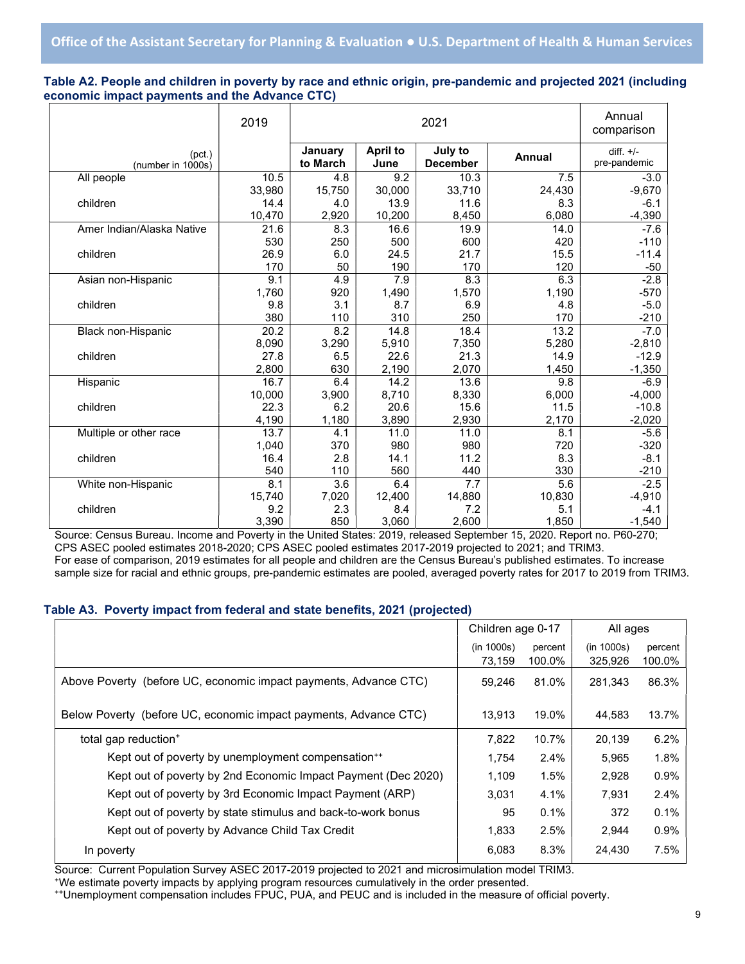### Table A2. People and children in poverty by race and ethnic origin, pre-pandemic and projected 2021 (including economic impact payments and the Advance CTC)

|                             | 2019              | 2021                |                         |                            |        | Annual<br>comparison        |
|-----------------------------|-------------------|---------------------|-------------------------|----------------------------|--------|-----------------------------|
| (pct.)<br>(number in 1000s) |                   | January<br>to March | <b>April to</b><br>June | July to<br><b>December</b> | Annual | diff. $+/-$<br>pre-pandemic |
| All people                  | 10.5              | 4.8                 | 9.2                     | 10.3                       | 7.5    | $-3.0$                      |
|                             | 33,980            | 15,750              | 30,000                  | 33,710                     | 24,430 | $-9,670$                    |
| children                    | 14.4              | 4.0                 | 13.9                    | 11.6                       | 8.3    | $-6.1$                      |
|                             | 10,470            | 2,920               | 10,200                  | 8,450                      | 6,080  | $-4,390$                    |
| Amer Indian/Alaska Native   | 21.6              | 8.3                 | 16.6                    | 19.9                       | 14.0   | $-7.6$                      |
|                             | 530               | 250                 | 500                     | 600                        | 420    | $-110$                      |
| children                    | 26.9              | 6.0                 | 24.5                    | 21.7                       | 15.5   | $-11.4$                     |
|                             | 170               | 50                  | 190                     | 170                        | 120    | $-50$                       |
| Asian non-Hispanic          | 9.1               | 4.9                 | 7.9                     | 8.3                        | 6.3    | $-2.8$                      |
|                             | 1,760             | 920                 | 1,490                   | 1,570                      | 1,190  | $-570$                      |
| children                    | 9.8               | 3.1                 | 8.7                     | 6.9                        | 4.8    | $-5.0$                      |
|                             | 380               | 110                 | 310                     | 250                        | 170    | $-210$                      |
| Black non-Hispanic          | $\overline{20.2}$ | 8.2                 | 14.8                    | 18.4                       | 13.2   | $-7.0$                      |
|                             | 8,090             | 3,290               | 5,910                   | 7,350                      | 5,280  | $-2,810$                    |
| children                    | 27.8              | 6.5                 | 22.6                    | 21.3                       | 14.9   | $-12.9$                     |
|                             | 2,800             | 630                 | 2,190                   | 2,070                      | 1,450  | $-1,350$                    |
| Hispanic                    | 16.7              | 6.4                 | 14.2                    | 13.6                       | 9.8    | $-6.9$                      |
|                             | 10,000            | 3,900               | 8,710                   | 8,330                      | 6,000  | $-4,000$                    |
| children                    | 22.3              | 6.2                 | 20.6                    | 15.6                       | 11.5   | $-10.8$                     |
|                             | 4,190             | 1,180               | 3,890                   | 2,930                      | 2,170  | $-2,020$                    |
| Multiple or other race      | 13.7              | 4.1                 | 11.0                    | 11.0                       | 8.1    | $-5.6$                      |
|                             | 1,040             | 370                 | 980                     | 980                        | 720    | $-320$                      |
| children                    | 16.4              | 2.8                 | 14.1                    | 11.2                       | 8.3    | $-8.1$                      |
|                             | 540               | 110                 | 560                     | 440                        | 330    | $-210$                      |
| White non-Hispanic          | 8.1               | $\overline{3.6}$    | 6.4                     | 7.7                        | 5.6    | $-2.5$                      |
|                             | 15,740            | 7,020               | 12,400                  | 14,880                     | 10,830 | $-4,910$                    |
| children                    | 9.2               | 2.3                 | 8.4                     | 7.2                        | 5.1    | $-4.1$                      |
|                             | 3,390             | 850                 | 3,060                   | 2,600                      | 1,850  | $-1,540$                    |

Source: Census Bureau. Income and Poverty in the United States: 2019, released September 15, 2020. Report no. P60-270; CPS ASEC pooled estimates 2018-2020; CPS ASEC pooled estimates 2017-2019 projected to 2021; and TRIM3. For ease of comparison, 2019 estimates for all people and children are the Census Bureau's published estimates. To increase sample size for racial and ethnic groups, pre-pandemic estimates are pooled, averaged poverty rates for 2017 to 2019 from TRIM3.

#### Table A3. Poverty impact from federal and state benefits, 2021 (projected)

|                                                                  | Children age 0-17    |                   | All ages              |                   |
|------------------------------------------------------------------|----------------------|-------------------|-----------------------|-------------------|
|                                                                  | (in 1000s)<br>73,159 | percent<br>100.0% | (in 1000s)<br>325,926 | percent<br>100.0% |
| Above Poverty (before UC, economic impact payments, Advance CTC) | 59,246               | 81.0%             | 281,343               | 86.3%             |
| Below Poverty (before UC, economic impact payments, Advance CTC) | 13.913               | 19.0%             | 44.583                | 13.7%             |
| total gap reduction <sup>+</sup>                                 | 7.822                | 10.7%             | 20,139                | 6.2%              |
| Kept out of poverty by unemployment compensation <sup>++</sup>   | 1.754                | 2.4%              | 5,965                 | 1.8%              |
| Kept out of poverty by 2nd Economic Impact Payment (Dec 2020)    | 1,109                | 1.5%              | 2,928                 | 0.9%              |
| Kept out of poverty by 3rd Economic Impact Payment (ARP)         | 3,031                | 4.1%              | 7,931                 | 2.4%              |
| Kept out of poverty by state stimulus and back-to-work bonus     | 95                   | 0.1%              | 372                   | 0.1%              |
| Kept out of poverty by Advance Child Tax Credit                  | 1,833                | 2.5%              | 2,944                 | 0.9%              |
| In poverty                                                       | 6,083                | 8.3%              | 24,430                | 7.5%              |

Source: Current Population Survey ASEC 2017-2019 projected to 2021 and microsimulation model TRIM3.

<sup>+</sup>We estimate poverty impacts by applying program resources cumulatively in the order presented.

++Unemployment compensation includes FPUC, PUA, and PEUC and is included in the measure of official poverty.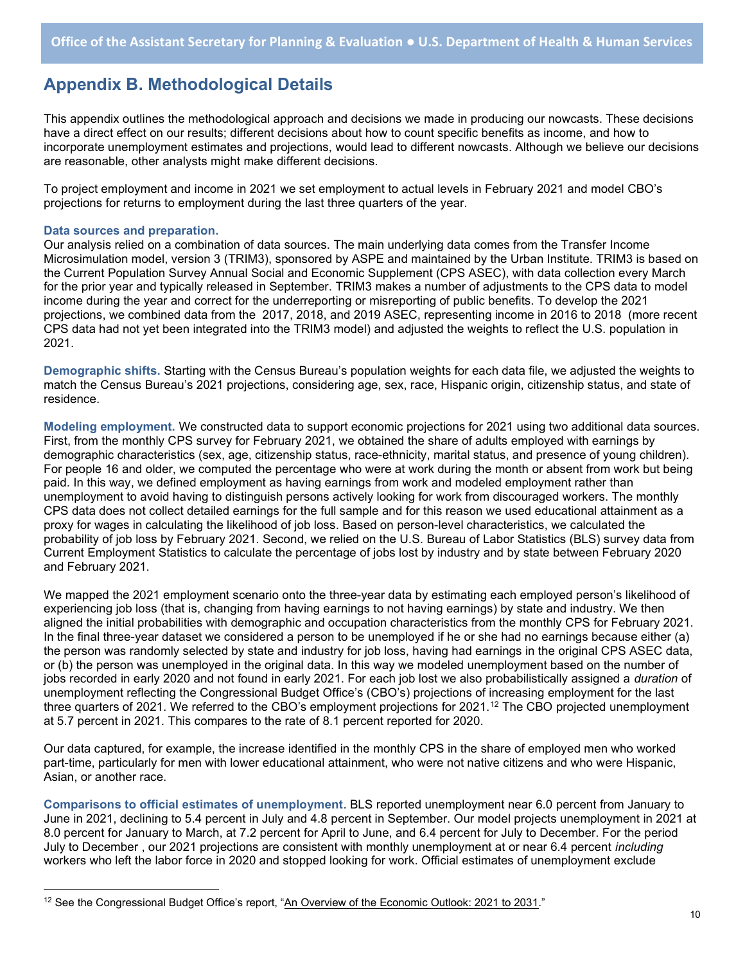### Appendix B. Methodological Details

This appendix outlines the methodological approach and decisions we made in producing our nowcasts. These decisions have a direct effect on our results; different decisions about how to count specific benefits as income, and how to incorporate unemployment estimates and projections, would lead to different nowcasts. Although we believe our decisions are reasonable, other analysts might make different decisions.

To project employment and income in 2021 we set employment to actual levels in February 2021 and model CBO's projections for returns to employment during the last three quarters of the year.

#### Data sources and preparation.

Our analysis relied on a combination of data sources. The main underlying data comes from the Transfer Income Microsimulation model, version 3 (TRIM3), sponsored by ASPE and maintained by the Urban Institute. TRIM3 is based on the Current Population Survey Annual Social and Economic Supplement (CPS ASEC), with data collection every March for the prior year and typically released in September. TRIM3 makes a number of adjustments to the CPS data to model income during the year and correct for the underreporting or misreporting of public benefits. To develop the 2021 projections, we combined data from the 2017, 2018, and 2019 ASEC, representing income in 2016 to 2018 (more recent CPS data had not yet been integrated into the TRIM3 model) and adjusted the weights to reflect the U.S. population in 2021.

Demographic shifts. Starting with the Census Bureau's population weights for each data file, we adjusted the weights to match the Census Bureau's 2021 projections, considering age, sex, race, Hispanic origin, citizenship status, and state of residence.

Modeling employment. We constructed data to support economic projections for 2021 using two additional data sources. First, from the monthly CPS survey for February 2021, we obtained the share of adults employed with earnings by demographic characteristics (sex, age, citizenship status, race-ethnicity, marital status, and presence of young children). For people 16 and older, we computed the percentage who were at work during the month or absent from work but being paid. In this way, we defined employment as having earnings from work and modeled employment rather than unemployment to avoid having to distinguish persons actively looking for work from discouraged workers. The monthly CPS data does not collect detailed earnings for the full sample and for this reason we used educational attainment as a proxy for wages in calculating the likelihood of job loss. Based on person-level characteristics, we calculated the probability of job loss by February 2021. Second, we relied on the U.S. Bureau of Labor Statistics (BLS) survey data from Current Employment Statistics to calculate the percentage of jobs lost by industry and by state between February 2020 and February 2021.

We mapped the 2021 employment scenario onto the three-year data by estimating each employed person's likelihood of experiencing job loss (that is, changing from having earnings to not having earnings) by state and industry. We then aligned the initial probabilities with demographic and occupation characteristics from the monthly CPS for February 2021. In the final three-year dataset we considered a person to be unemployed if he or she had no earnings because either (a) the person was randomly selected by state and industry for job loss, having had earnings in the original CPS ASEC data, or (b) the person was unemployed in the original data. In this way we modeled unemployment based on the number of jobs recorded in early 2020 and not found in early 2021. For each job lost we also probabilistically assigned a *duration* of unemployment reflecting the Congressional Budget Office's (CBO's) projections of increasing employment for the last three quarters of 2021. We referred to the CBO's employment projections for 2021.<sup>12</sup> The CBO projected unemployment at 5.7 percent in 2021. This compares to the rate of 8.1 percent reported for 2020.

Our data captured, for example, the increase identified in the monthly CPS in the share of employed men who worked part-time, particularly for men with lower educational attainment, who were not native citizens and who were Hispanic, Asian, or another race.

Comparisons to official estimates of unemployment. BLS reported unemployment near 6.0 percent from January to June in 2021, declining to 5.4 percent in July and 4.8 percent in September. Our model projects unemployment in 2021 at 8.0 percent for January to March, at 7.2 percent for April to June, and 6.4 percent for July to December. For the period July to December, our 2021 projections are consistent with monthly unemployment at or near 6.4 percent including workers who left the labor force in 2020 and stopped looking for work. Official estimates of unemployment exclude

<sup>&</sup>lt;sup>12</sup> See the Congressional Budget Office's report, "An Overview of the Economic Outlook: 2021 to 2031."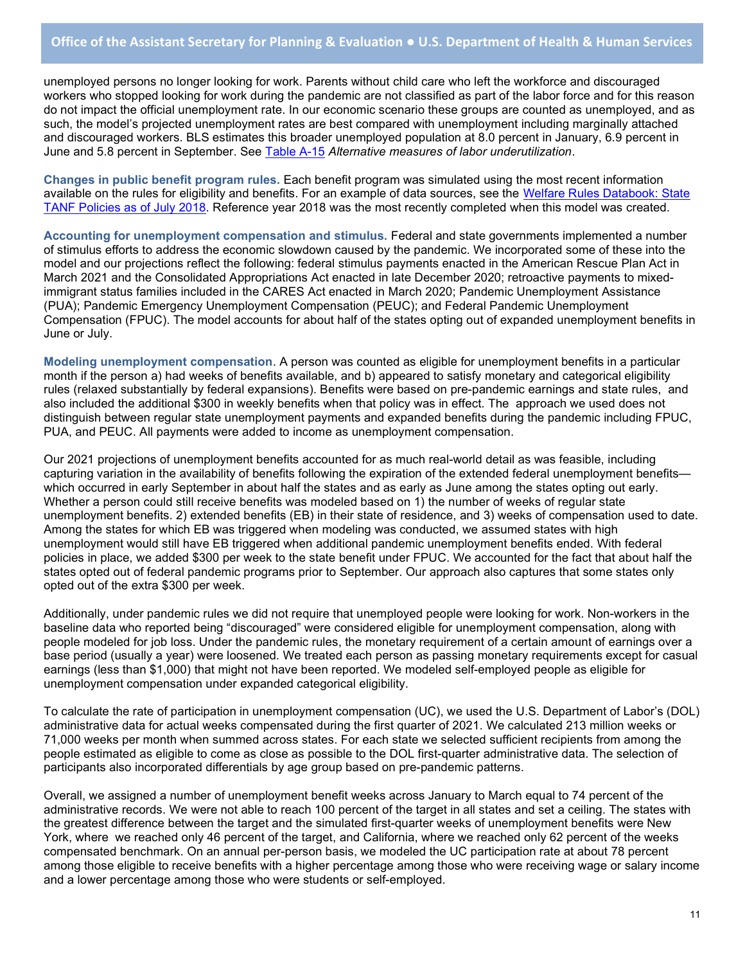unemployed persons no longer looking for work. Parents without child care who left the workforce and discouraged workers who stopped looking for work during the pandemic are not classified as part of the labor force and for this reason do not impact the official unemployment rate. In our economic scenario these groups are counted as unemployed, and as such, the model's projected unemployment rates are best compared with unemployment including marginally attached and discouraged workers. BLS estimates this broader unemployed population at 8.0 percent in January, 6.9 percent in June and 5.8 percent in September. See Table A-15 Alternative measures of labor underutilization.

Changes in public benefit program rules. Each benefit program was simulated using the most recent information available on the rules for eligibility and benefits. For an example of data sources, see the Welfare Rules Databook: State TANF Policies as of July 2018. Reference year 2018 was the most recently completed when this model was created.

Accounting for unemployment compensation and stimulus. Federal and state governments implemented a number of stimulus efforts to address the economic slowdown caused by the pandemic. We incorporated some of these into the model and our projections reflect the following: federal stimulus payments enacted in the American Rescue Plan Act in March 2021 and the Consolidated Appropriations Act enacted in late December 2020; retroactive payments to mixedimmigrant status families included in the CARES Act enacted in March 2020; Pandemic Unemployment Assistance (PUA); Pandemic Emergency Unemployment Compensation (PEUC); and Federal Pandemic Unemployment Compensation (FPUC). The model accounts for about half of the states opting out of expanded unemployment benefits in June or July.

Modeling unemployment compensation. A person was counted as eligible for unemployment benefits in a particular month if the person a) had weeks of benefits available, and b) appeared to satisfy monetary and categorical eligibility rules (relaxed substantially by federal expansions). Benefits were based on pre-pandemic earnings and state rules, and also included the additional \$300 in weekly benefits when that policy was in effect. The approach we used does not distinguish between regular state unemployment payments and expanded benefits during the pandemic including FPUC, PUA, and PEUC. All payments were added to income as unemployment compensation.

Our 2021 projections of unemployment benefits accounted for as much real-world detail as was feasible, including capturing variation in the availability of benefits following the expiration of the extended federal unemployment benefits which occurred in early September in about half the states and as early as June among the states opting out early. Whether a person could still receive benefits was modeled based on 1) the number of weeks of regular state unemployment benefits. 2) extended benefits (EB) in their state of residence, and 3) weeks of compensation used to date. Among the states for which EB was triggered when modeling was conducted, we assumed states with high unemployment would still have EB triggered when additional pandemic unemployment benefits ended. With federal policies in place, we added \$300 per week to the state benefit under FPUC. We accounted for the fact that about half the states opted out of federal pandemic programs prior to September. Our approach also captures that some states only opted out of the extra \$300 per week.

Additionally, under pandemic rules we did not require that unemployed people were looking for work. Non-workers in the baseline data who reported being "discouraged" were considered eligible for unemployment compensation, along with people modeled for job loss. Under the pandemic rules, the monetary requirement of a certain amount of earnings over a base period (usually a year) were loosened. We treated each person as passing monetary requirements except for casual earnings (less than \$1,000) that might not have been reported. We modeled self-employed people as eligible for unemployment compensation under expanded categorical eligibility.

To calculate the rate of participation in unemployment compensation (UC), we used the U.S. Department of Labor's (DOL) administrative data for actual weeks compensated during the first quarter of 2021. We calculated 213 million weeks or 71,000 weeks per month when summed across states. For each state we selected sufficient recipients from among the people estimated as eligible to come as close as possible to the DOL first-quarter administrative data. The selection of participants also incorporated differentials by age group based on pre-pandemic patterns.

Overall, we assigned a number of unemployment benefit weeks across January to March equal to 74 percent of the administrative records. We were not able to reach 100 percent of the target in all states and set a ceiling. The states with the greatest difference between the target and the simulated first-quarter weeks of unemployment benefits were New York, where we reached only 46 percent of the target, and California, where we reached only 62 percent of the weeks compensated benchmark. On an annual per-person basis, we modeled the UC participation rate at about 78 percent among those eligible to receive benefits with a higher percentage among those who were receiving wage or salary income and a lower percentage among those who were students or self-employed.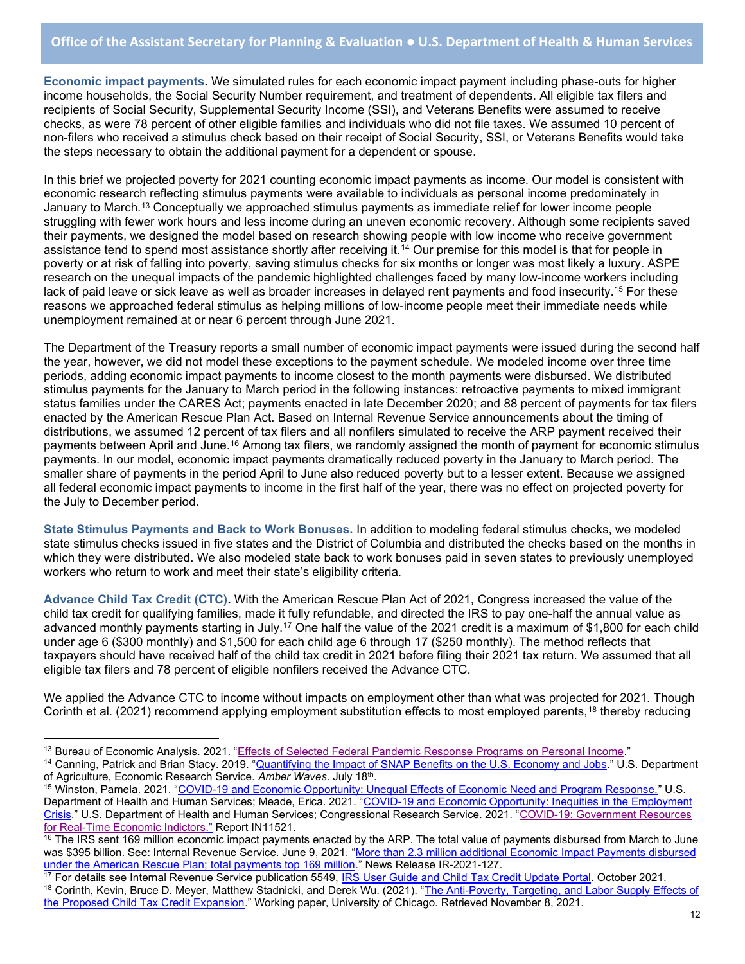Economic impact payments. We simulated rules for each economic impact payment including phase-outs for higher income households, the Social Security Number requirement, and treatment of dependents. All eligible tax filers and recipients of Social Security, Supplemental Security Income (SSI), and Veterans Benefits were assumed to receive checks, as were 78 percent of other eligible families and individuals who did not file taxes. We assumed 10 percent of non-filers who received a stimulus check based on their receipt of Social Security, SSI, or Veterans Benefits would take the steps necessary to obtain the additional payment for a dependent or spouse.

In this brief we projected poverty for 2021 counting economic impact payments as income. Our model is consistent with economic research reflecting stimulus payments were available to individuals as personal income predominately in January to March.<sup>13</sup> Conceptually we approached stimulus payments as immediate relief for lower income people struggling with fewer work hours and less income during an uneven economic recovery. Although some recipients saved their payments, we designed the model based on research showing people with low income who receive government assistance tend to spend most assistance shortly after receiving it.<sup>14</sup> Our premise for this model is that for people in poverty or at risk of falling into poverty, saving stimulus checks for six months or longer was most likely a luxury. ASPE research on the unequal impacts of the pandemic highlighted challenges faced by many low-income workers including lack of paid leave or sick leave as well as broader increases in delayed rent payments and food insecurity.<sup>15</sup> For these reasons we approached federal stimulus as helping millions of low-income people meet their immediate needs while unemployment remained at or near 6 percent through June 2021.

The Department of the Treasury reports a small number of economic impact payments were issued during the second half the year, however, we did not model these exceptions to the payment schedule. We modeled income over three time periods, adding economic impact payments to income closest to the month payments were disbursed. We distributed stimulus payments for the January to March period in the following instances: retroactive payments to mixed immigrant status families under the CARES Act; payments enacted in late December 2020; and 88 percent of payments for tax filers enacted by the American Rescue Plan Act. Based on Internal Revenue Service announcements about the timing of distributions, we assumed 12 percent of tax filers and all nonfilers simulated to receive the ARP payment received their payments between April and June.<sup>16</sup> Among tax filers, we randomly assigned the month of payment for economic stimulus payments. In our model, economic impact payments dramatically reduced poverty in the January to March period. The smaller share of payments in the period April to June also reduced poverty but to a lesser extent. Because we assigned all federal economic impact payments to income in the first half of the year, there was no effect on projected poverty for the July to December period.

State Stimulus Payments and Back to Work Bonuses. In addition to modeling federal stimulus checks, we modeled state stimulus checks issued in five states and the District of Columbia and distributed the checks based on the months in which they were distributed. We also modeled state back to work bonuses paid in seven states to previously unemployed workers who return to work and meet their state's eligibility criteria.

Advance Child Tax Credit (CTC). With the American Rescue Plan Act of 2021, Congress increased the value of the child tax credit for qualifying families, made it fully refundable, and directed the IRS to pay one-half the annual value as advanced monthly payments starting in July.<sup>17</sup> One half the value of the 2021 credit is a maximum of \$1,800 for each child under age 6 (\$300 monthly) and \$1,500 for each child age 6 through 17 (\$250 monthly). The method reflects that taxpayers should have received half of the child tax credit in 2021 before filing their 2021 tax return. We assumed that all eligible tax filers and 78 percent of eligible nonfilers received the Advance CTC.

We applied the Advance CTC to income without impacts on employment other than what was projected for 2021. Though Corinth et al. (2021) recommend applying employment substitution effects to most employed parents,<sup>18</sup> thereby reducing

<sup>&</sup>lt;sup>13</sup> Bureau of Economic Analysis. 2021. "Effects of Selected Federal Pandemic Response Programs on Personal Income."

<sup>14</sup> Canning, Patrick and Brian Stacy. 2019. "Quantifying the Impact of SNAP Benefits on the U.S. Economy and Jobs." U.S. Department of Agriculture, Economic Research Service. Amber Waves. July 18<sup>th</sup>.

<sup>&</sup>lt;sup>15</sup> Winston, Pamela. 2021. "COVID-19 and Economic Opportunity: Unequal Effects of Economic Need and Program Response." U.S. Department of Health and Human Services; Meade, Erica. 2021. "COVID-19 and Economic Opportunity: Inequities in the Employment Crisis." U.S. Department of Health and Human Services; Congressional Research Service. 2021. "COVID-19: Government Resources for Real-Time Economic Indictors." Report IN11521.

 $16$  The IRS sent 169 million economic impact payments enacted by the ARP. The total value of payments disbursed from March to June was \$395 billion. See: Internal Revenue Service. June 9, 2021. "More than 2.3 million additional Economic Impact Payments disbursed under the American Rescue Plan; total payments top 169 million." News Release IR-2021-127.

<sup>&</sup>lt;sup>17</sup> For details see Internal Revenue Service publication 5549, IRS User Guide and Child Tax Credit Update Portal. October 2021. <sup>18</sup> Corinth, Kevin, Bruce D. Meyer, Matthew Stadnicki, and Derek Wu. (2021). "The Anti-Poverty, Targeting, and Labor Supply Effects of the Proposed Child Tax Credit Expansion." Working paper, University of Chicago. Retrieved November 8, 2021.